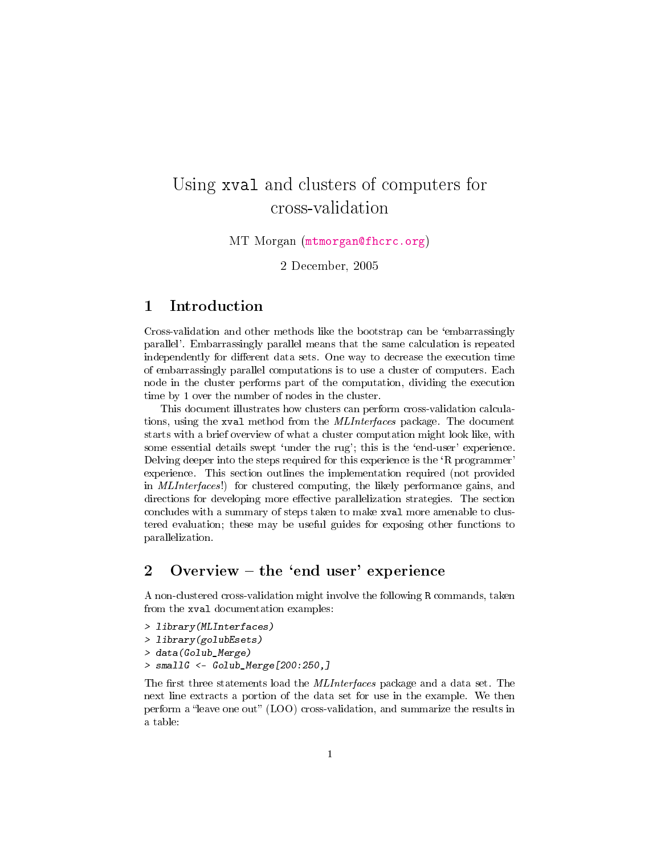# Using xval and clusters of computers for cross-validation

MT Morgan [\(mtmorgan@fhcrc.org\)](mtmorgan@fhcrc.org)

2 December, 2005

#### 1 Introduction

Cross-validation and other methods like the bootstrap can be `embarrassingly parallel'. Embarrassingly parallel means that the same calculation is repeated independently for different data sets. One way to decrease the execution time of embarrassingly parallel computations is to use a cluster of computers. Each node in the cluster performs part of the computation, dividing the execution time by 1 over the number of nodes in the cluster.

This document illustrates how clusters can perform cross-validation calculations, using the xval method from the MLInterfaces package. The document starts with a brief overview of what a cluster computation might look like, with some essential details swept 'under the rug'; this is the 'end-user' experience. Delving deeper into the steps required for this experience is the `R programmer' experience. This section outlines the implementation required (not provided in MLInterfaces!) for clustered computing, the likely performance gains, and directions for developing more effective parallelization strategies. The section concludes with a summary of steps taken to make xval more amenable to clustered evaluation; these may be useful guides for exposing other functions to parallelization.

### 2 Overview  $-\text{ the 'end user' experience}$

A non-clustered cross-validation might involve the following R commands, taken from the xval documentation examples:

- > library(MLInterfaces)
- > library(golubEsets)
- > data(Golub\_Merge)
- > smallG <- Golub\_Merge[200:250,]

The first three statements load the *MLInterfaces* package and a data set. The next line extracts a portion of the data set for use in the example. We then perform a "leave one out" (LOO) cross-validation, and summarize the results in a table: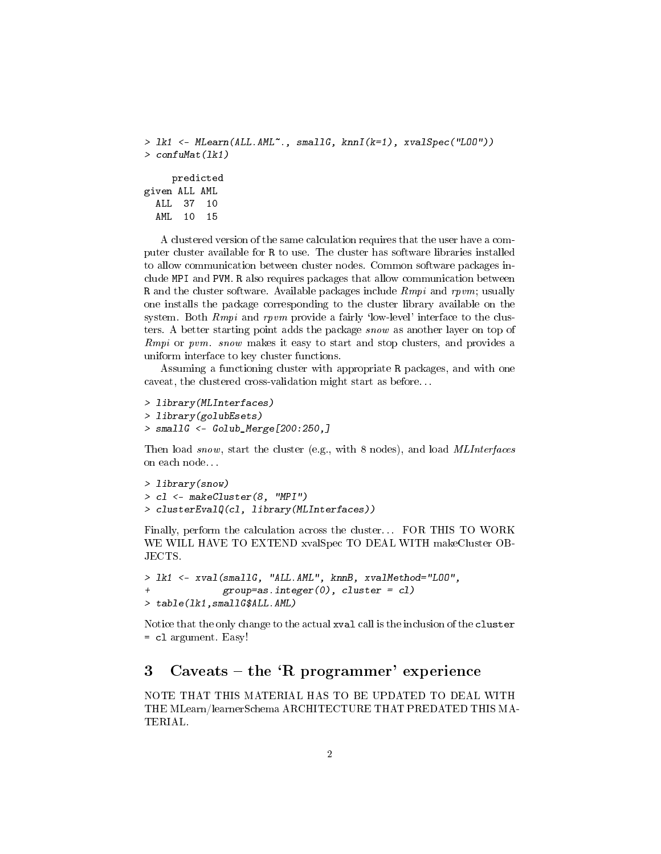```
> lk1 <- MLearn(ALL.AML~., smallG, knnI(k=1), xvalSpec("LOO"))
> confuMat(lk1)
    predicted
given ALL AML
 ALL 37 10
  AML 10 15
```
A clustered version of the same calculation requires that the user have a computer cluster available for R to use. The cluster has software libraries installed to allow communication between cluster nodes. Common software packages include MPI and PVM. R also requires packages that allow communication between R and the cluster software. Available packages include  $Rmpi$  and rpvm; usually one installs the package corresponding to the cluster library available on the system. Both  $Rmpi$  and rpvm provide a fairly 'low-level' interface to the clusters. A better starting point adds the package snow as another layer on top of Rmpi or pvm. snow makes it easy to start and stop clusters, and provides a uniform interface to key cluster functions.

Assuming a functioning cluster with appropriate R packages, and with one caveat, the clustered cross-validation might start as before. . .

```
> library(MLInterfaces)
> library(golubEsets)
> smallG <- Golub_Merge[200:250,]
```
Then load snow, start the cluster (e.g., with 8 nodes), and load MLInterfaces on each node. . .

```
> library(snow)
> cl <- makeCluster(8, "MPI")
> clusterEvalQ(cl, library(MLInterfaces))
```
Finally, perform the calculation across the cluster. . . FOR THIS TO WORK WE WILL HAVE TO EXTEND xvalSpec TO DEAL WITH makeCluster OB-JECTS.

```
> lk1 <- xval(smallG, "ALL.AML", knnB, xvalMethod="LOO",
+ group=as.integer(0), cluster = cl)
> table(lk1,smallG$ALL.AML)
```
Notice that the only change to the actual xval call is the inclusion of the cluster = cl argument. Easy!

## 3 Caveats – the  $'R$  programmer' experience

NOTE THAT THIS MATERIAL HAS TO BE UPDATED TO DEAL WITH THE MLearn/learnerSchema ARCHITECTURE THAT PREDATED THIS MA-TERIAL.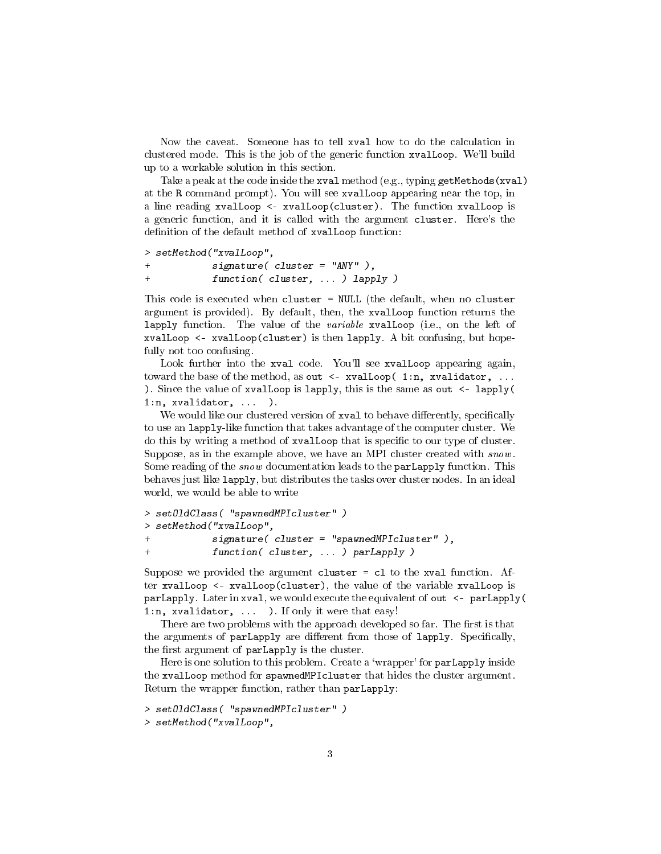Now the caveat. Someone has to tell xval how to do the calculation in clustered mode. This is the job of the generic function xvalLoop. We'll build up to a workable solution in this section.

Take a peak at the code inside the xval method (e.g., typing getMethods(xval) at the R command prompt). You will see xvalLoop appearing near the top, in a line reading xvalLoop <- xvalLoop(cluster). The function xvalLoop is a generic function, and it is called with the argument cluster. Here's the definition of the default method of xvalLoop function:

```
> setMethod("xvalLoop",
+ signature( cluster = "ANY" ),
+ function( cluster, ... ) lapply )
```
This code is executed when cluster = NULL (the default, when no cluster argument is provided). By default, then, the xvalLoop function returns the lapply function. The value of the *variable* xvalLoop (i.e., on the left of xvalLoop <- xvalLoop(cluster) is then lapply. A bit confusing, but hopefully not too confusing.

Look further into the xval code. You'll see xvalLoop appearing again, toward the base of the method, as out <- xvalLoop( 1:n, xvalidator, ... ). Since the value of xvalloop is lapply, this is the same as out  $\leq$ -lapply( 1:n, xvalidator, ... ).

We would like our clustered version of xval to behave differently, specifically to use an lapply-like function that takes advantage of the computer cluster. We do this by writing a method of xvalLoop that is specific to our type of cluster. Suppose, as in the example above, we have an MPI cluster created with snow. Some reading of the *snow* documentation leads to the **parLapply** function. This behaves just like lapply, but distributes the tasks over cluster nodes. In an ideal world, we would be able to write

```
> setOldClass( "spawnedMPIcluster" )
> setMethod("xvalLoop",
+ signature( cluster = "spawnedMPIcluster" ),
+ function( cluster, ... ) parLapply )
```
Suppose we provided the argument cluster = cl to the xval function. After xvalLoop <- xvalLoop(cluster), the value of the variable xvalLoop is parLapply. Later in xval, we would execute the equivalent of out <- parLapply( 1:n, xvalidator, ... ). If only it were that easy!

There are two problems with the approach developed so far. The first is that the arguments of parLapply are different from those of lapply. Specifically, the first argument of parLapply is the cluster.

Here is one solution to this problem. Create a 'wrapper' for parLapply inside the xvalLoop method for spawnedMPIcluster that hides the cluster argument. Return the wrapper function, rather than parLapply:

```
> setOldClass( "spawnedMPIcluster" )
```

```
> setMethod("xvalLoop",
```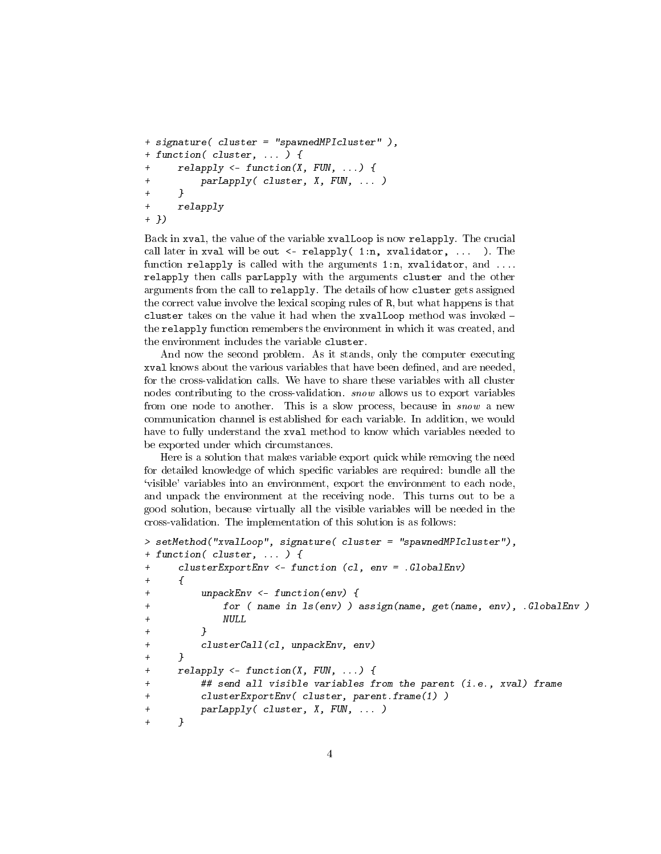```
+ signature( cluster = "spawnedMPIcluster" ),
+ function( cluster, ... ) {
+ relapply <- function(X, FUN, ...) {
+ parLapply( cluster, X, FUN, ... )
+ }
+ relapply
+ })
```
Back in xval, the value of the variable xvalLoop is now relapply. The crucial call later in xval will be out  $\leq$ -relapply(1:n, xvalidator, ... ). The function relapply is called with the arguments 1:n, xvalidator, and  $\dots$ relapply then calls parLapply with the arguments cluster and the other arguments from the call to relapply. The details of how cluster gets assigned the correct value involve the lexical scoping rules of R, but what happens is that cluster takes on the value it had when the xvalLoop method was invoked the relapply function remembers the environment in which it was created, and the environment includes the variable cluster.

And now the second problem. As it stands, only the computer executing xval knows about the various variables that have been defined, and are needed, for the cross-validation calls. We have to share these variables with all cluster nodes contributing to the cross-validation. snow allows us to export variables from one node to another. This is a slow process, because in snow a new communication channel is established for each variable. In addition, we would have to fully understand the xval method to know which variables needed to be exported under which circumstances.

Here is a solution that makes variable export quick while removing the need for detailed knowledge of which specific variables are required: bundle all the `visible' variables into an environment, export the environment to each node, and unpack the environment at the receiving node. This turns out to be a good solution, because virtually all the visible variables will be needed in the cross-validation. The implementation of this solution is as follows:

```
> setMethod("xvalLoop", signature( cluster = "spawnedMPIcluster"),
+ function( cluster, ... ) {
+ clusterExportEnv <- function (cl, env = .GlobalEnv)
+ ++ unpackEnv <- function(env) {
            for ( name in ls(env) ) assign(name, get(name, env), .GlobalEnv )
+ NULL
+ }
+ clusterCall(cl, unpackEnv, env)
+ }
+ relapply <- function(X, FUN, ...) {
+ ## send all visible variables from the parent (i.e., xval) frame
+ clusterExportEnv( cluster, parent.frame(1) )
+ parLapply( cluster, X, FUN, ... )
+ }
```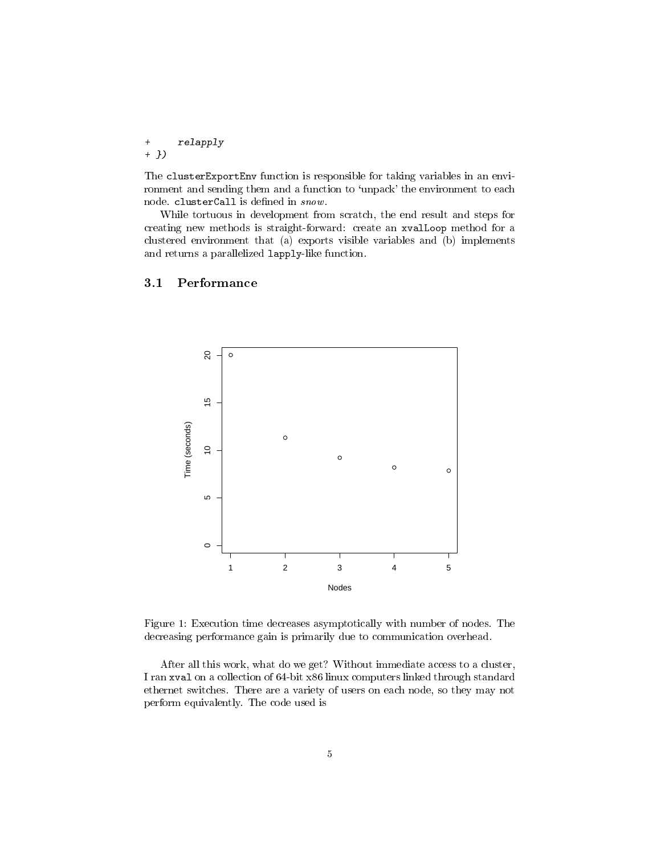+ relapply + })

The clusterExportEnv function is responsible for taking variables in an environment and sending them and a function to 'unpack' the environment to each node. clusterCall is defined in  $\mathit{snow}$ .

While tortuous in development from scratch, the end result and steps for creating new methods is straight-forward: create an xvalLoop method for a clustered environment that (a) exports visible variables and (b) implements and returns a parallelized lapply-like function.

#### 3.1 Performance



<span id="page-4-0"></span>Figure 1: Execution time decreases asymptotically with number of nodes. The decreasing performance gain is primarily due to communication overhead.

After all this work, what do we get? Without immediate access to a cluster, I ran xval on a collection of 64-bit x86 linux computers linked through standard ethernet switches. There are a variety of users on each node, so they may not perform equivalently. The code used is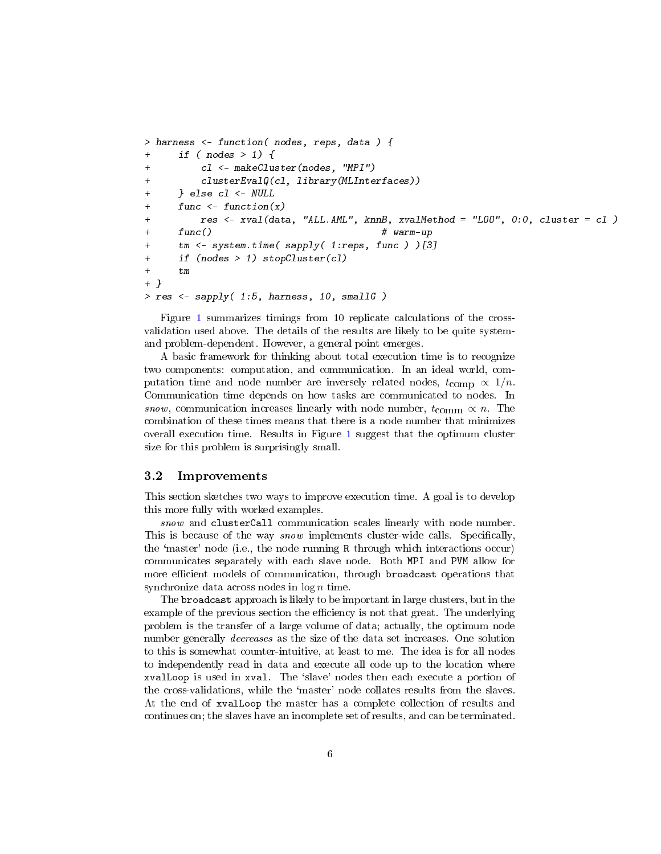```
> harness <- function( nodes, reps, data ) {
+ if ( nodes > 1) {
        c1 <- makeCluster(nodes, "MPI")
+ clusterEvalQ(cl, library(MLInterfaces))
+ } else cl <- NULL
+ func <- function(x)
        res \le - xval(data, "ALL.AML", knnB, xvalMethod = "L00", 0:0, cluster = c1)+ func() # warm-up
     tm \leq system.time( sapply( 1:reps, func ) [3]+ if (nodes > 1) stopCluster(cl)
+ tm
+ }
> res <- sapply( 1:5, harness, 10, smallG )
```
Figure [1](#page-4-0) summarizes timings from 10 replicate calculations of the crossvalidation used above. The details of the results are likely to be quite systemand problem-dependent. However, a general point emerges.

A basic framework for thinking about total execution time is to recognize two components: computation, and communication. In an ideal world, computation time and node number are inversely related nodes,  $t_{\text{comp}} \propto 1/n$ . Communication time depends on how tasks are communicated to nodes. In snow, communication increases linearly with node number,  $t_{\text{comm}} \propto n$ . The combination of these times means that there is a node number that minimizes overall execution time. Results in Figure [1](#page-4-0) suggest that the optimum cluster size for this problem is surprisingly small.

#### 3.2 Improvements

This section sketches two ways to improve execution time. A goal is to develop this more fully with worked examples.

snow and clusterCall communication scales linearly with node number. This is because of the way *snow* implements cluster-wide calls. Specifically, the `master' node (i.e., the node running R through which interactions occur) communicates separately with each slave node. Both MPI and PVM allow for more efficient models of communication, through broadcast operations that synchronize data across nodes in  $\log n$  time.

The broadcast approach is likely to be important in large clusters, but in the example of the previous section the efficiency is not that great. The underlying problem is the transfer of a large volume of data; actually, the optimum node number generally decreases as the size of the data set increases. One solution to this is somewhat counter-intuitive, at least to me. The idea is for all nodes to independently read in data and execute all code up to the location where xvalLoop is used in xval. The `slave' nodes then each execute a portion of the cross-validations, while the `master' node collates results from the slaves. At the end of xvalLoop the master has a complete collection of results and continues on; the slaves have an incomplete set of results, and can be terminated.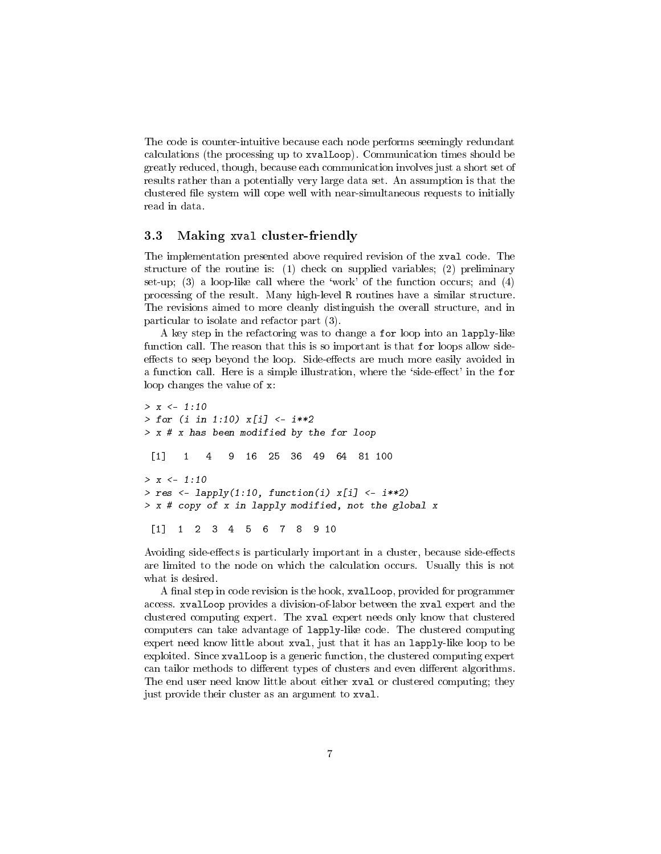The code is counter-intuitive because each node performs seemingly redundant calculations (the processing up to xvalLoop). Communication times should be greatly reduced, though, because each communication involves just a short set of results rather than a potentially very large data set. An assumption is that the clustered le system will cope well with near-simultaneous requests to initially read in data.

#### 3.3 Making xval cluster-friendly

The implementation presented above required revision of the xval code. The structure of the routine is: (1) check on supplied variables; (2) preliminary set-up; (3) a loop-like call where the 'work' of the function occurs; and  $(4)$ processing of the result. Many high-level R routines have a similar structure. The revisions aimed to more cleanly distinguish the overall structure, and in particular to isolate and refactor part (3).

A key step in the refactoring was to change a for loop into an lapply-like function call. The reason that this is so important is that for loops allow sideeffects to seep beyond the loop. Side-effects are much more easily avoided in a function call. Here is a simple illustration, where the 'side-effect' in the for loop changes the value of x:

```
> x < -1:10> for (i in 1:10) x[i] < -i**2> x # x has been modified by the for loop
 [1] 1 4 9 16 25 36 49 64 81 100
> x < -1:10> res <- lapply(1:10, function(i) x[i] <- i**2)
> x # copy of x in lapply modified, not the global x
 [1] 1 2 3 4 5 6 7 8 9 10
```
Avoiding side-effects is particularly important in a cluster, because side-effects are limited to the node on which the calculation occurs. Usually this is not what is desired.

A final step in code revision is the hook, xvalLoop, provided for programmer access. xvalLoop provides a division-of-labor between the xval expert and the clustered computing expert. The xval expert needs only know that clustered computers can take advantage of lapply-like code. The clustered computing expert need know little about xval, just that it has an lapply-like loop to be exploited. Since xvalLoop is a generic function, the clustered computing expert can tailor methods to different types of clusters and even different algorithms. The end user need know little about either xval or clustered computing; they just provide their cluster as an argument to xval.